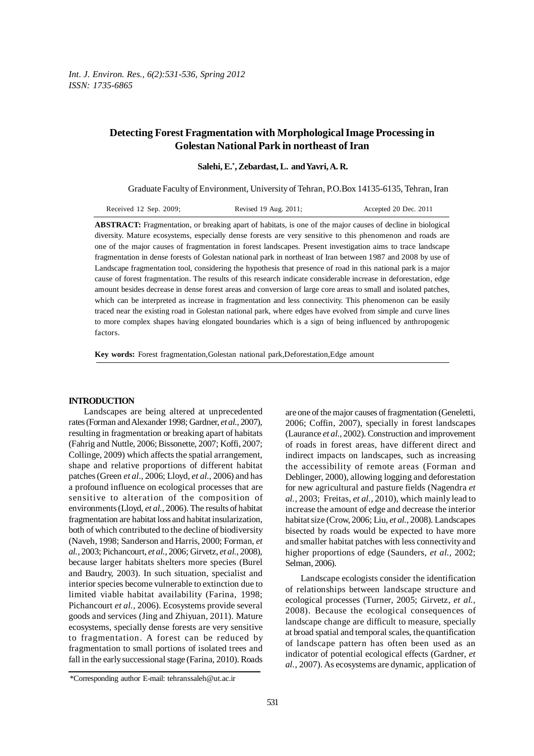# **Detecting Forest Fragmentation with Morphological Image Processing in Golestan National Park in northeast of Iran**

 **Salehi, E.\* , Zebardast, L. and Yavri, A. R.**

Graduate Faculty of Environment, University of Tehran, P.O.Box 14135-6135, Tehran, Iran

| Received $12$ Sep. $2009$ ; | Revised 19 Aug. 2011; | Accepted 20 Dec. 2011 |
|-----------------------------|-----------------------|-----------------------|
|-----------------------------|-----------------------|-----------------------|

**ABSTRACT:** Fragmentation, or breaking apart of habitats, is one of the major causes of decline in biological diversity. Mature ecosystems, especially dense forests are very sensitive to this phenomenon and roads are one of the major causes of fragmentation in forest landscapes. Present investigation aims to trace landscape fragmentation in dense forests of Golestan national park in northeast of Iran between 1987 and 2008 by use of Landscape fragmentation tool, considering the hypothesis that presence of road in this national park is a major cause of forest fragmentation. The results of this research indicate considerable increase in deforestation, edge amount besides decrease in dense forest areas and conversion of large core areas to small and isolated patches, which can be interpreted as increase in fragmentation and less connectivity. This phenomenon can be easily traced near the existing road in Golestan national park, where edges have evolved from simple and curve lines to more complex shapes having elongated boundaries which is a sign of being influenced by anthropogenic factors.

**Key words:** Forest fragmentation,Golestan national park,Deforestation,Edge amount

### **INTRODUCTION**

Landscapes are being altered at unprecedented rates (Forman and Alexander 1998; Gardner, *et al.,* 2007), resulting in fragmentation or breaking apart of habitats (Fahrig and Nuttle, 2006; Bissonette, 2007; Koffi, 2007; Collinge, 2009) which affects the spatial arrangement, shape and relative proportions of different habitat patches (Green *et al.,* 2006; Lloyd, *et al.,* 2006) and has a profound influence on ecological processes that are sensitive to alteration of the composition of environments (Lloyd, *et al.,* 2006). The results of habitat fragmentation are habitat loss and habitat insularization, both of which contributed to the decline of biodiversity (Naveh, 1998; Sanderson and Harris, 2000; Forman, *et al.,* 2003; Pichancourt, *et al.,* 2006; Girvetz, *et al.,* 2008), because larger habitats shelters more species (Burel and Baudry, 2003). In such situation, specialist and interior species become vulnerable to extinction due to limited viable habitat availability (Farina, 1998; Pichancourt *et al.,* 2006). Ecosystems provide several goods and services (Jing and Zhiyuan, 2011). Mature ecosystems, specially dense forests are very sensitive to fragmentation. A forest can be reduced by fragmentation to small portions of isolated trees and fall in the early successional stage (Farina, 2010). Roads

Landscape ecologists consider the identification of relationships between landscape structure and ecological processes (Turner, 2005; Girvetz, *et al.,* 2008). Because the ecological consequences of landscape change are difficult to measure, specially at broad spatial and temporal scales, the quantification of landscape pattern has often been used as an indicator of potential ecological effects (Gardner, *et al.,* 2007). As ecosystems are dynamic, application of

are one of the major causes of fragmentation (Geneletti, 2006; Coffin, 2007), specially in forest landscapes (Laurance *et al.,* 2002). Construction and improvement of roads in forest areas, have different direct and indirect impacts on landscapes, such as increasing the accessibility of remote areas (Forman and Deblinger, 2000), allowing logging and deforestation for new agricultural and pasture fields (Nagendra *et al.,* 2003; Freitas, *et al.,* 2010), which mainly lead to increase the amount of edge and decrease the interior habitat size (Crow, 2006; Liu, *et al.,* 2008). Landscapes bisected by roads would be expected to have more and smaller habitat patches with less connectivity and higher proportions of edge (Saunders, *et al.,* 2002; Selman, 2006).

<sup>\*</sup>Corresponding author E-mail: tehranssaleh@ut.ac.ir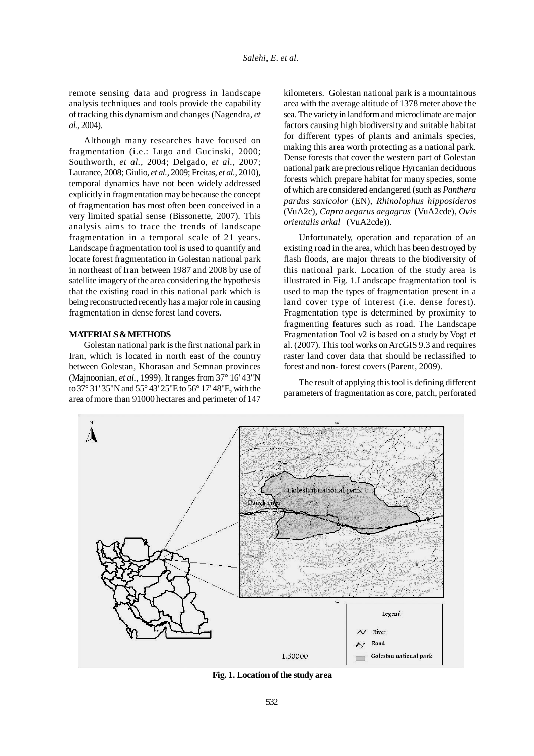remote sensing data and progress in landscape analysis techniques and tools provide the capability of tracking this dynamism and changes (Nagendra, *et al.,* 2004).

Although many researches have focused on fragmentation (i.e.: Lugo and Gucinski, 2000; Southworth, *et al.,* 2004; Delgado, *et al.,* 2007; Laurance, 2008; Giulio, *et al.,* 2009; Freitas, *et al.,* 2010), temporal dynamics have not been widely addressed explicitly in fragmentation may be because the concept of fragmentation has most often been conceived in a very limited spatial sense (Bissonette, 2007). This analysis aims to trace the trends of landscape fragmentation in a temporal scale of 21 years. Landscape fragmentation tool is used to quantify and locate forest fragmentation in Golestan national park in northeast of Iran between 1987 and 2008 by use of satellite imagery of the area considering the hypothesis that the existing road in this national park which is being reconstructed recently has a major role in causing fragmentation in dense forest land covers.

#### **MATERIALS & METHODS**

Golestan national park is the first national park in Iran, which is located in north east of the country between Golestan, Khorasan and Semnan provinces (Majnoonian, *et al.,* 1999). It ranges from 37° 16' 43"N to 37° 31' 35"N and 55° 43' 25"E to 56° 17' 48"E, with the area of more than 91000 hectares and perimeter of 147

kilometers. Golestan national park is a mountainous area with the average altitude of 1378 meter above the sea. The variety in landform and microclimate are major factors causing high biodiversity and suitable habitat for different types of plants and animals species, making this area worth protecting as a national park. Dense forests that cover the western part of Golestan national park are precious relique Hyrcanian deciduous forests which prepare habitat for many species, some of which are considered endangered (such as *Panthera pardus saxicolor* (EN), *Rhinolophus hipposideros* (VuA2c), *Capra aegarus aegagrus* (VuA2cde), *Ovis orientalis arkal* (VuA2cde)).

Unfortunately, operation and reparation of an existing road in the area, which has been destroyed by flash floods, are major threats to the biodiversity of this national park. Location of the study area is illustrated in Fig. 1.Landscape fragmentation tool is used to map the types of fragmentation present in a land cover type of interest (i.e. dense forest). Fragmentation type is determined by proximity to fragmenting features such as road. The Landscape Fragmentation Tool v2 is based on a study by Vogt et al. (2007). This tool works on ArcGIS 9.3 and requires raster land cover data that should be reclassified to forest and non- forest covers (Parent, 2009).

The result of applying this tool is defining different parameters of fragmentation as core, patch, perforated



**Fig. 1. Location of the study area**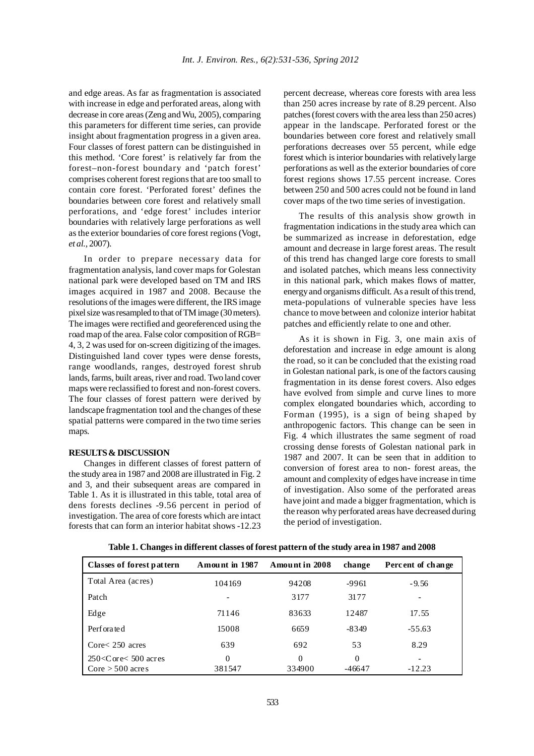and edge areas. As far as fragmentation is associated with increase in edge and perforated areas, along with decrease in core areas (Zeng and Wu, 2005), comparing this parameters for different time series, can provide insight about fragmentation progress in a given area. Four classes of forest pattern can be distinguished in this method. 'Core forest' is relatively far from the forest–non-forest boundary and 'patch forest' comprises coherent forest regions that are too small to contain core forest. 'Perforated forest' defines the boundaries between core forest and relatively small perforations, and 'edge forest' includes interior boundaries with relatively large perforations as well as the exterior boundaries of core forest regions (Vogt, *et al.,* 2007).

In order to prepare necessary data for fragmentation analysis, land cover maps for Golestan national park were developed based on TM and IRS images acquired in 1987 and 2008. Because the resolutions of the images were different, the IRS image pixel size was resampled to that of TM image (30 meters). The images were rectified and georeferenced using the road map of the area. False color composition of RGB= 4, 3, 2 was used for on-screen digitizing of the images. Distinguished land cover types were dense forests, range woodlands, ranges, destroyed forest shrub lands, farms, built areas, river and road. Two land cover maps were reclassified to forest and non-forest covers. The four classes of forest pattern were derived by landscape fragmentation tool and the changes of these spatial patterns were compared in the two time series maps.

#### **RESULTS & DISCUSSION**

Changes in different classes of forest pattern of the study area in 1987 and 2008 are illustrated in Fig. 2 and 3, and their subsequent areas are compared in Table 1. As it is illustrated in this table, total area of dens forests declines -9.56 percent in period of investigation. The area of core forests which are intact forests that can form an interior habitat shows -12.23

percent decrease, whereas core forests with area less than 250 acres increase by rate of 8.29 percent. Also patches (forest covers with the area less than 250 acres) appear in the landscape. Perforated forest or the boundaries between core forest and relatively small perforations decreases over 55 percent, while edge forest which is interior boundaries with relatively large perforations as well as the exterior boundaries of core forest regions shows 17.55 percent increase. Cores between 250 and 500 acres could not be found in land cover maps of the two time series of investigation.

The results of this analysis show growth in fragmentation indications in the study area which can be summarized as increase in deforestation, edge amount and decrease in large forest areas. The result of this trend has changed large core forests to small and isolated patches, which means less connectivity in this national park, which makes flows of matter, energy and organisms difficult. As a result of this trend, meta-populations of vulnerable species have less chance to move between and colonize interior habitat patches and efficiently relate to one and other.

As it is shown in Fig. 3, one main axis of deforestation and increase in edge amount is along the road, so it can be concluded that the existing road in Golestan national park, is one of the factors causing fragmentation in its dense forest covers. Also edges have evolved from simple and curve lines to more complex elongated boundaries which, according to Forman (1995), is a sign of being shaped by anthropogenic factors. This change can be seen in Fig. 4 which illustrates the same segment of road crossing dense forests of Golestan national park in 1987 and 2007. It can be seen that in addition to conversion of forest area to non- forest areas, the amount and complexity of edges have increase in time of investigation. Also some of the perforated areas have joint and made a bigger fragmentation, which is the reason why perforated areas have decreased during the period of investigation.

| Classes of forest pattern   | Amount in 1987 | Amount in 2008 | change   | Percent of change        |
|-----------------------------|----------------|----------------|----------|--------------------------|
| Total Area (acres)          | 104169         | 94208          | -9961    | $-9.56$                  |
| Patch                       | ۰              | 3177           | 3177     | $\overline{\phantom{a}}$ |
| Edge                        | 71146          | 83633          | 12487    | 17.55                    |
| Perforated                  | 15008          | 6659           | $-8349$  | $-55.63$                 |
| $\text{Core}$ 2.50 acres    | 639            | 692            | 53       | 8.29                     |
| $250 <$ C ore $< 500$ acres | 0              | $\Omega$       | $\Omega$ |                          |
| $Core > 500$ acres          | 381547         | 334900         | $-46647$ | $-12.23$                 |

**Table 1. Changes in different classes of forest pattern of the study area in 1987 and 2008**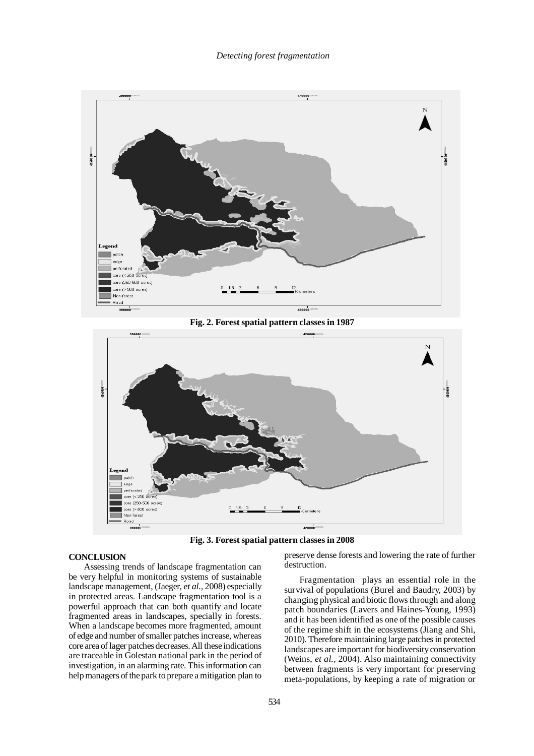

**Fig. 2. Forest spatial pattern classes in 1987**



**Fig. 3. Forest spatial pattern classes in 2008**

## **CONCLUSION**

Assessing trends of landscape fragmentation can be very helpful in monitoring systems of sustainable landscape management, (Jaeger, *et al.,* 2008) especially in protected areas. Landscape fragmentation tool is a powerful approach that can both quantify and locate fragmented areas in landscapes, specially in forests. When a landscape becomes more fragmented, amount of edge and number of smaller patches increase, whereas core area of lager patches decreases. All these indications are traceable in Golestan national park in the period of investigation, in an alarming rate. This information can help managers of the park to prepare a mitigation plan to

preserve dense forests and lowering the rate of further destruction.

Fragmentation plays an essential role in the survival of populations (Burel and Baudry, 2003) by changing physical and biotic flows through and along patch boundaries (Lavers and Haines-Young, 1993) and it has been identified as one of the possible causes of the regime shift in the ecosystems (Jiang and Shi, 2010). Therefore maintaining large patches in protected landscapes are important for biodiversity conservation (Weins, *et al.,* 2004). Also maintaining connectivity between fragments is very important for preserving meta-populations, by keeping a rate of migration or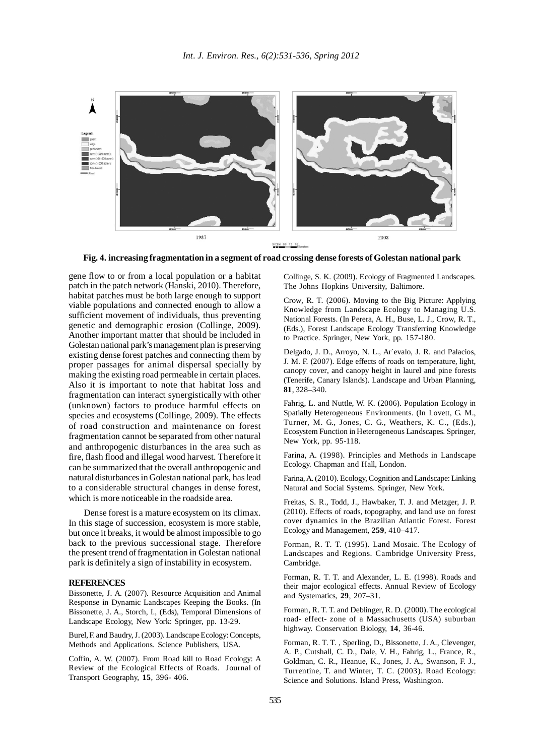

0024 08 12 16

**Fig. 4. increasing fragmentation in a segment of road crossing dense forests of Golestan national park**

gene flow to or from a local population or a habitat patch in the patch network (Hanski, 2010). Therefore, habitat patches must be both large enough to support viable populations and connected enough to allow a sufficient movement of individuals, thus preventing genetic and demographic erosion (Collinge, 2009). Another important matter that should be included in Golestan national park's management plan is preserving existing dense forest patches and connecting them by proper passages for animal dispersal specially by making the existing road permeable in certain places. Also it is important to note that habitat loss and fragmentation can interact synergistically with other (unknown) factors to produce harmful effects on species and ecosystems (Collinge, 2009). The effects of road construction and maintenance on forest fragmentation cannot be separated from other natural and anthropogenic disturbances in the area such as fire, flash flood and illegal wood harvest. Therefore it can be summarized that the overall anthropogenic and natural disturbances in Golestan national park, has lead to a considerable structural changes in dense forest, which is more noticeable in the roadside area.

Dense forest is a mature ecosystem on its climax. In this stage of succession, ecosystem is more stable, but once it breaks, it would be almost impossible to go back to the previous successional stage. Therefore the present trend of fragmentation in Golestan national park is definitely a sign of instability in ecosystem.

#### **REFERENCES**

Bissonette, J. A. (2007). Resource Acquisition and Animal Response in Dynamic Landscapes Keeping the Books. (In Bissonette, J. A., Storch, I., (Eds), Temporal Dimensions of Landscape Ecology, New York: Springer, pp. 13-29.

Burel, F. and Baudry, J. (2003). Landscape Ecology: Concepts, Methods and Applications. Science Publishers, USA.

Coffin, A. W. (2007). From Road kill to Road Ecology: A Review of the Ecological Effects of Roads. Journal of Transport Geography, **15**, 396- 406.

Collinge, S. K. (2009). Ecology of Fragmented Landscapes. The Johns Hopkins University, Baltimore.

Crow, R. T. (2006). Moving to the Big Picture: Applying Knowledge from Landscape Ecology to Managing U.S. National Forests. (In Perera, A. H., Buse, L. J., Crow, R. T., (Eds.), Forest Landscape Ecology Transferring Knowledge to Practice. Springer, New York, pp. 157-180.

Delgado, J. D., Arroyo, N. L., Ar´evalo, J. R. and Palacios, J. M. F. (2007). Edge effects of roads on temperature, light, canopy cover, and canopy height in laurel and pine forests (Tenerife, Canary Islands). Landscape and Urban Planning, **81**, 328–340.

Fahrig, L. and Nuttle, W. K. (2006). Population Ecology in Spatially Heterogeneous Environments. (In Lovett, G. M., Turner, M. G., Jones, C. G., Weathers, K. C., (Eds.), Ecosystem Function in Heterogeneous Landscapes. Springer, New York, pp. 95-118.

Farina, A. (1998). Principles and Methods in Landscape Ecology. Chapman and Hall, London.

Farina, A. (2010). Ecology, Cognition and Landscape: Linking Natural and Social Systems. Springer, New York.

Freitas, S. R., Todd, J., Hawbaker, T. J. and Metzger, J. P. (2010). Effects of roads, topography, and land use on forest cover dynamics in the Brazilian Atlantic Forest. Forest Ecology and Management, **259**, 410–417.

Forman, R. T. T. (1995). Land Mosaic. The Ecology of Landscapes and Regions. Cambridge University Press, Cambridge.

Forman, R. T. T. and Alexander, L. E. (1998). Roads and their major ecological effects. Annual Review of Ecology and Systematics, **29**, 207–31.

Forman, R. T. T. and Deblinger, R. D. (2000). The ecological road- effect- zone of a Massachusetts (USA) suburban highway. Conservation Biology, **14**, 36-46.

Forman, R. T. T. , Sperling, D., Bissonette, J. A., Clevenger, A. P., Cutshall, C. D., Dale, V. H., Fahrig, L., France, R., Goldman, C. R., Heanue, K., Jones, J. A., Swanson, F. J., Turrentine, T. and Winter, T. C. (2003). Road Ecology: Science and Solutions. Island Press, Washington.